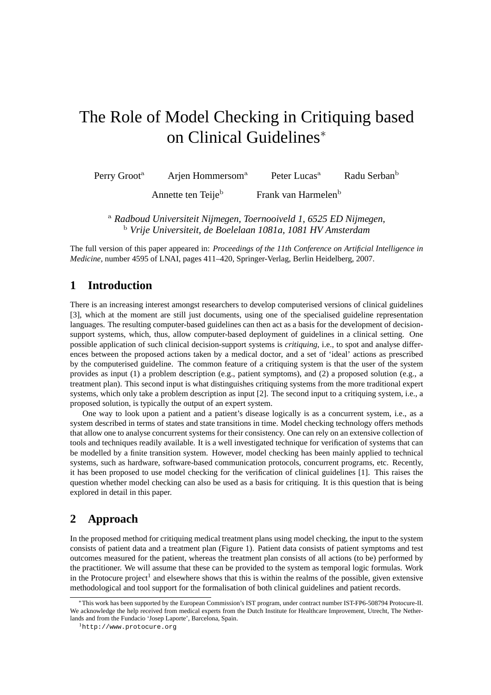# The Role of Model Checking in Critiquing based on Clinical Guidelines<sup>∗</sup>

Perry Groot<sup>a</sup> Arjen Hommersom<sup>a</sup> Peter Lucas<sup>a</sup> Radu Serban<sup>b</sup>

Annette ten Teije<sup>b</sup> Frank van Harmelen<sup>b</sup>

<sup>a</sup> *Radboud Universiteit Nijmegen, Toernooiveld 1, 6525 ED Nijmegen,* <sup>b</sup> *Vrije Universiteit, de Boelelaan 1081a, 1081 HV Amsterdam*

The full version of this paper appeared in: *Proceedings of the 11th Conference on Artificial Intelligence in Medicine*, number 4595 of LNAI, pages 411–420, Springer-Verlag, Berlin Heidelberg, 2007.

#### **1 Introduction**

There is an increasing interest amongst researchers to develop computerised versions of clinical guidelines [3], which at the moment are still just documents, using one of the specialised guideline representation languages. The resulting computer-based guidelines can then act as a basis for the development of decisionsupport systems, which, thus, allow computer-based deployment of guidelines in a clinical setting. One possible application of such clinical decision-support systems is *critiquing*, i.e., to spot and analyse differences between the proposed actions taken by a medical doctor, and a set of 'ideal' actions as prescribed by the computerised guideline. The common feature of a critiquing system is that the user of the system provides as input (1) a problem description (e.g., patient symptoms), and (2) a proposed solution (e.g., a treatment plan). This second input is what distinguishes critiquing systems from the more traditional expert systems, which only take a problem description as input [2]. The second input to a critiquing system, i.e., a proposed solution, is typically the output of an expert system.

One way to look upon a patient and a patient's disease logically is as a concurrent system, i.e., as a system described in terms of states and state transitions in time. Model checking technology offers methods that allow one to analyse concurrent systems for their consistency. One can rely on an extensive collection of tools and techniques readily available. It is a well investigated technique for verification of systems that can be modelled by a finite transition system. However, model checking has been mainly applied to technical systems, such as hardware, software-based communication protocols, concurrent programs, etc. Recently, it has been proposed to use model checking for the verification of clinical guidelines [1]. This raises the question whether model checking can also be used as a basis for critiquing. It is this question that is being explored in detail in this paper.

## **2 Approach**

In the proposed method for critiquing medical treatment plans using model checking, the input to the system consists of patient data and a treatment plan (Figure 1). Patient data consists of patient symptoms and test outcomes measured for the patient, whereas the treatment plan consists of all actions (to be) performed by the practitioner. We will assume that these can be provided to the system as temporal logic formulas. Work in the Protocure project<sup>1</sup> and elsewhere shows that this is within the realms of the possible, given extensive methodological and tool support for the formalisation of both clinical guidelines and patient records.

<sup>∗</sup>This work has been supported by the European Commission's IST program, under contract number IST-FP6-508794 Protocure-II. We acknowledge the help received from medical experts from the Dutch Institute for Healthcare Improvement, Utrecht, The Netherlands and from the Fundacio 'Josep Laporte', Barcelona, Spain.

<sup>1</sup>http://www.protocure.org